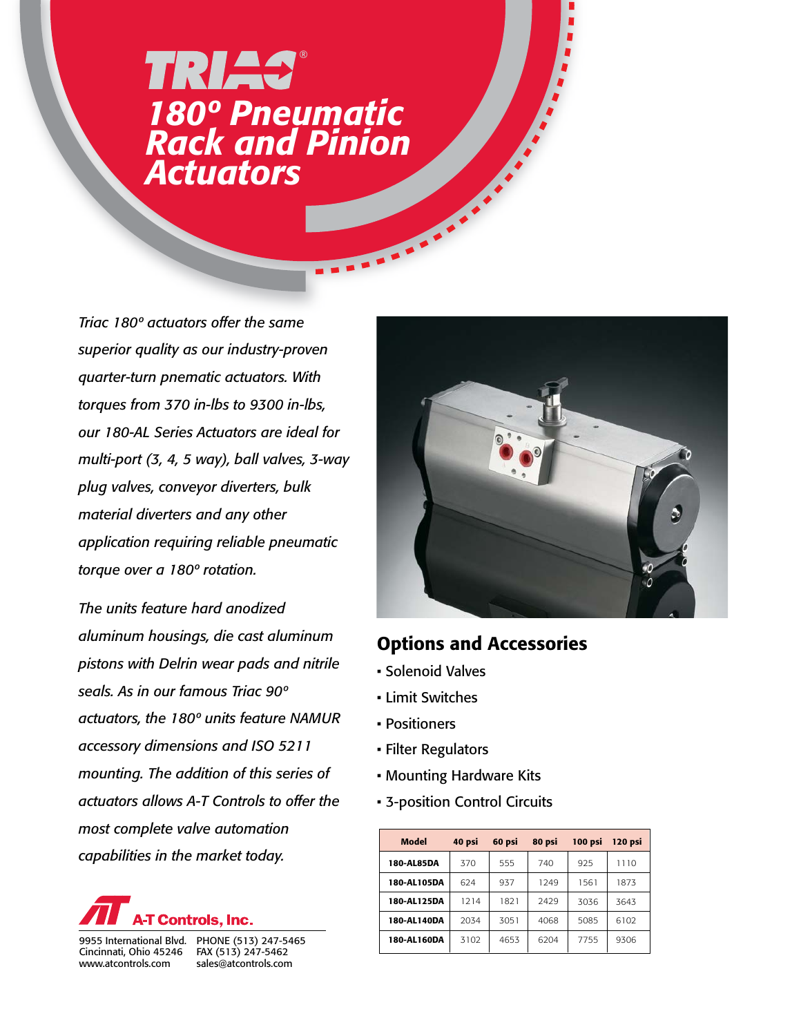## *180º Pneumatic Rack and Pinion Actuators* **TRIAS®**

*Triac 180º actuators offer the same superior quality as our industry-proven quarter-turn pnematic actuators. With torques from 370 in-lbs to 9300 in-lbs, our 180-AL Series Actuators are ideal for multi-port (3, 4, 5 way), ball valves, 3-way plug valves, conveyor diverters, bulk material diverters and any other application requiring reliable pneumatic torque over a 180º rotation.*

*The units feature hard anodized aluminum housings, die cast aluminum pistons with Delrin wear pads and nitrile seals. As in our famous Triac 90º actuators, the 180º units feature NAMUR accessory dimensions and ISO 5211 mounting. The addition of this series of actuators allows A-T Controls to offer the most complete valve automation capabilities in the market today.*



Cincinnati, Ohio 45246 www.atcontrols.com

9955 International Blvd. PHONE (513) 247-5465 FAX (513) 247-5462 sales@atcontrols.com



## Options and Accessories

- Solenoid Valves
- Limit Switches
- Positioners
- Filter Regulators
- Mounting Hardware Kits
- 3-position Control Circuits

| Model       | 40 psi | 60 psi | 80 psi | 100 psi | 120 psi |  |  |
|-------------|--------|--------|--------|---------|---------|--|--|
| 180-AL85DA  | 370    | 555    | 740    | 925     | 1110    |  |  |
| 180-AL105DA | 624    | 937    | 1249   | 1561    | 1873    |  |  |
| 180-AL125DA | 1214   | 1821   | 2429   | 3036    | 3643    |  |  |
| 180-AL140DA | 2034   | 3051   | 4068   | 5085    | 6102    |  |  |
| 180-AL160DA | 3102   | 4653   | 6204   | 7755    | 9306    |  |  |